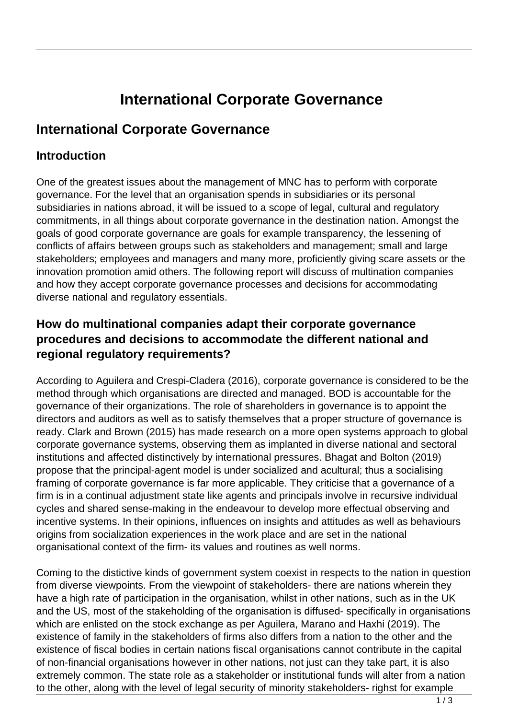# **International Corporate Governance**

## **International Corporate Governance**

#### **Introduction**

One of the greatest issues about the management of MNC has to perform with corporate governance. For the level that an organisation spends in subsidiaries or its personal subsidiaries in nations abroad, it will be issued to a scope of legal, cultural and regulatory commitments, in all things about corporate governance in the destination nation. Amongst the goals of good corporate governance are goals for example transparency, the lessening of conflicts of affairs between groups such as stakeholders and management; small and large stakeholders; employees and managers and many more, proficiently giving scare assets or the innovation promotion amid others. The following report will discuss of multination companies and how they accept corporate governance processes and decisions for accommodating diverse national and regulatory essentials.

#### **How do multinational companies adapt their corporate governance procedures and decisions to accommodate the different national and regional regulatory requirements?**

According to Aguilera and Crespi-Cladera (2016), corporate governance is considered to be the method through which organisations are directed and managed. BOD is accountable for the governance of their organizations. The role of shareholders in governance is to appoint the directors and auditors as well as to satisfy themselves that a proper structure of governance is ready. Clark and Brown (2015) has made research on a more open systems approach to global corporate governance systems, observing them as implanted in diverse national and sectoral institutions and affected distinctively by international pressures. Bhagat and Bolton (2019) propose that the principal-agent model is under socialized and acultural; thus a socialising framing of corporate governance is far more applicable. They criticise that a governance of a firm is in a continual adjustment state like agents and principals involve in recursive individual cycles and shared sense-making in the endeavour to develop more effectual observing and incentive systems. In their opinions, influences on insights and attitudes as well as behaviours origins from socialization experiences in the work place and are set in the national organisational context of the firm- its values and routines as well norms.

Coming to the distictive kinds of government system coexist in respects to the nation in question from diverse viewpoints. From the viewpoint of stakeholders- there are nations wherein they have a high rate of participation in the organisation, whilst in other nations, such as in the UK and the US, most of the stakeholding of the organisation is diffused- specifically in organisations which are enlisted on the stock exchange as per Aguilera, Marano and Haxhi (2019). The existence of family in the stakeholders of firms also differs from a nation to the other and the existence of fiscal bodies in certain nations fiscal organisations cannot contribute in the capital of non-financial organisations however in other nations, not just can they take part, it is also extremely common. The state role as a stakeholder or institutional funds will alter from a nation to the other, along with the level of legal security of minority stakeholders- righst for example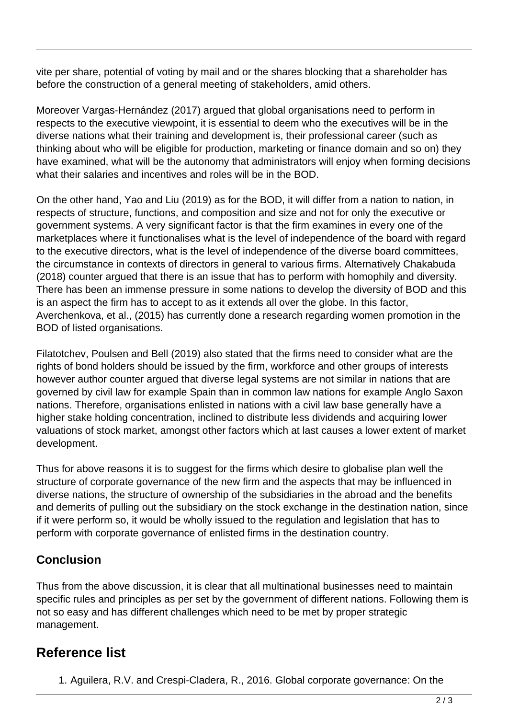vite per share, potential of voting by mail and or the shares blocking that a shareholder has before the construction of a general meeting of stakeholders, amid others.

Moreover Vargas-Hernández (2017) argued that global organisations need to perform in respects to the executive viewpoint, it is essential to deem who the executives will be in the diverse nations what their training and development is, their professional career (such as thinking about who will be eligible for production, marketing or finance domain and so on) they have examined, what will be the autonomy that administrators will enjoy when forming decisions what their salaries and incentives and roles will be in the BOD.

On the other hand, Yao and Liu (2019) as for the BOD, it will differ from a nation to nation, in respects of structure, functions, and composition and size and not for only the executive or government systems. A very significant factor is that the firm examines in every one of the marketplaces where it functionalises what is the level of independence of the board with regard to the executive directors, what is the level of independence of the diverse board committees, the circumstance in contexts of directors in general to various firms. Alternatively Chakabuda (2018) counter argued that there is an issue that has to perform with homophily and diversity. There has been an immense pressure in some nations to develop the diversity of BOD and this is an aspect the firm has to accept to as it extends all over the globe. In this factor, Averchenkova, et al., (2015) has currently done a research regarding women promotion in the BOD of listed organisations.

Filatotchev, Poulsen and Bell (2019) also stated that the firms need to consider what are the rights of bond holders should be issued by the firm, workforce and other groups of interests however author counter argued that diverse legal systems are not similar in nations that are governed by civil law for example Spain than in common law nations for example Anglo Saxon nations. Therefore, organisations enlisted in nations with a civil law base generally have a higher stake holding concentration, inclined to distribute less dividends and acquiring lower valuations of stock market, amongst other factors which at last causes a lower extent of market development.

Thus for above reasons it is to suggest for the firms which desire to globalise plan well the structure of corporate governance of the new firm and the aspects that may be influenced in diverse nations, the structure of ownership of the subsidiaries in the abroad and the benefits and demerits of pulling out the subsidiary on the stock exchange in the destination nation, since if it were perform so, it would be wholly issued to the regulation and legislation that has to perform with corporate governance of enlisted firms in the destination country.

### **Conclusion**

Thus from the above discussion, it is clear that all multinational businesses need to maintain specific rules and principles as per set by the government of different nations. Following them is not so easy and has different challenges which need to be met by proper strategic management.

# **Reference list**

1. Aguilera, R.V. and Crespi-Cladera, R., 2016. Global corporate governance: On the